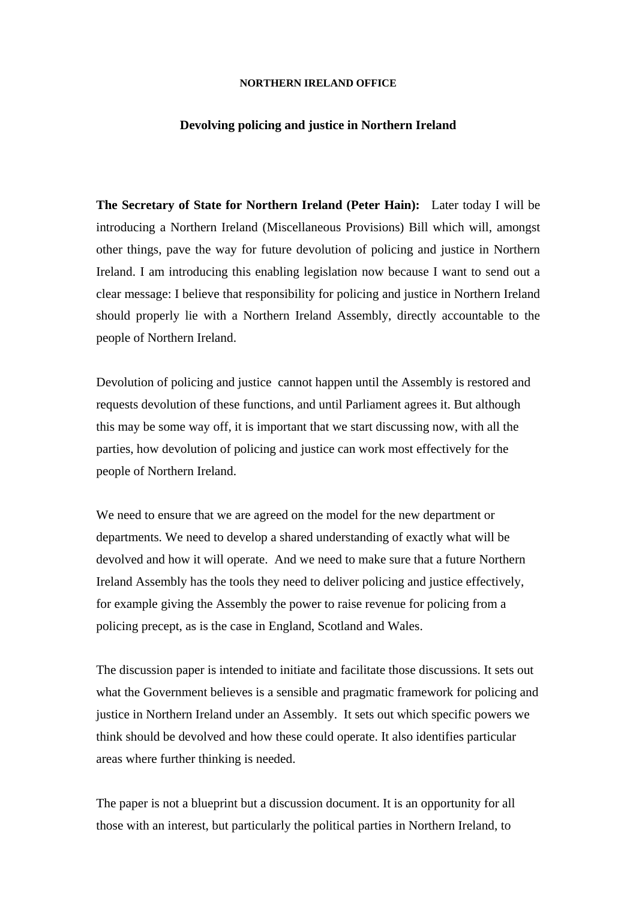## **NORTHERN IRELAND OFFICE**

## **Devolving policing and justice in Northern Ireland**

**The Secretary of State for Northern Ireland (Peter Hain):** Later today I will be introducing a Northern Ireland (Miscellaneous Provisions) Bill which will, amongst other things, pave the way for future devolution of policing and justice in Northern Ireland. I am introducing this enabling legislation now because I want to send out a clear message: I believe that responsibility for policing and justice in Northern Ireland should properly lie with a Northern Ireland Assembly, directly accountable to the people of Northern Ireland.

Devolution of policing and justice cannot happen until the Assembly is restored and requests devolution of these functions, and until Parliament agrees it. But although this may be some way off, it is important that we start discussing now, with all the parties, how devolution of policing and justice can work most effectively for the people of Northern Ireland.

We need to ensure that we are agreed on the model for the new department or departments. We need to develop a shared understanding of exactly what will be devolved and how it will operate. And we need to make sure that a future Northern Ireland Assembly has the tools they need to deliver policing and justice effectively, for example giving the Assembly the power to raise revenue for policing from a policing precept, as is the case in England, Scotland and Wales.

The discussion paper is intended to initiate and facilitate those discussions. It sets out what the Government believes is a sensible and pragmatic framework for policing and justice in Northern Ireland under an Assembly. It sets out which specific powers we think should be devolved and how these could operate. It also identifies particular areas where further thinking is needed.

The paper is not a blueprint but a discussion document. It is an opportunity for all those with an interest, but particularly the political parties in Northern Ireland, to